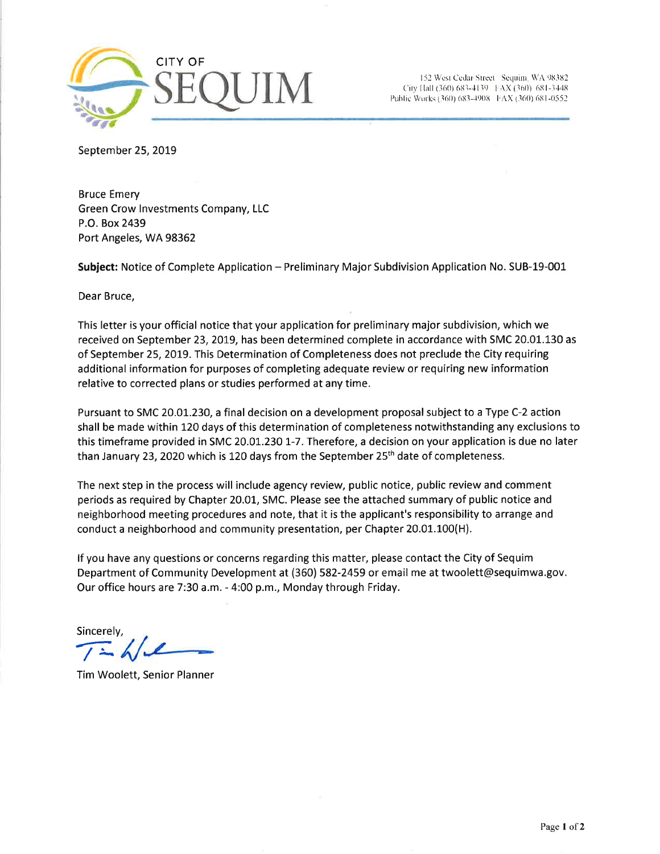

(152 West Cedar Street Sequim, WA 98382<br>City IIall (360) 683-4139 f AX (360) 681-3448 Public Works (360) 683-4908 FAX (360) 681-0552

September 25, 2019

Bruce Emery Green Crow lnvestments Company, LLC P.O. Box 2439 Port Angeles, WA 98362

Subject: Notice of Complete Application - Preliminary Major Subdivision Application No. SUB-19-001

Dear Bruce,

This letter is your official notice that your application for preliminary major subdivision, which we received on September 23, 2019, has been determined complete in accordance with SMC 20.01.130 as of September 25, 2019. This Determination of Completeness does not preclude the City requiring additional information for purposes of completing adequate review or requiring new information relative to corrected plans or studies performed at any time.

Pursuant to SMC 2O.0t.23O, a final decision on a development proposalsubject to a Type C-2 action shall be made within 120 days of this determination of completeness notwithstanding any exclusions to this timeframe provided in SMC 2O.O1.23O 1-7. Therefore, a decision on your application is due no later than January 23, 2020 which is 120 days from the September  $25<sup>th</sup>$  date of completeness.

The next step in the process will include agency review, public notice, public revíew and comment periods as required by Chapter 20.01, SMC. Please see the attached summary of public notice and neighborhood meeting procedures and note, that it is the applicant's responsibility to arrange and conduct a neighborhood and community presentation, per Chapter 20.01.100(H).

lf you have any questions or concerns regarding this matter, please contact the City of Sequim Department of Community Development at (360) 582-2459 or email me at twoolett@sequimwa.gov. Our office hours are 7:30 a.m. - 4:00 p.m., Monday through Friday.

Sincerely,  $\sqrt{\frac{1}{2}}$ 

Tim Woolett, Senior Planner